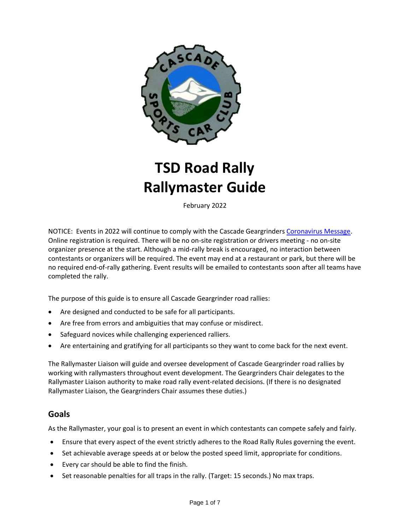

# **TSD Road Rally Rallymaster Guide**

February 2022

NOTICE: Events in 2022 will continue to comply with the Cascade Geargrinder[s Coronavirus Message.](http://www.cascadegeargrinders.org/News/coronavirus-message.pdf) Online registration is required. There will be no on-site registration or drivers meeting - no on-site organizer presence at the start. Although a mid-rally break is encouraged, no interaction between contestants or organizers will be required. The event may end at a restaurant or park, but there will be no required end-of-rally gathering. Event results will be emailed to contestants soon after all teams have completed the rally.

The purpose of this guide is to ensure all Cascade Geargrinder road rallies:

- Are designed and conducted to be safe for all participants.
- Are free from errors and ambiguities that may confuse or misdirect.
- Safeguard novices while challenging experienced ralliers.
- Are entertaining and gratifying for all participants so they want to come back for the next event.

The Rallymaster Liaison will guide and oversee development of Cascade Geargrinder road rallies by working with rallymasters throughout event development. The Geargrinders Chair delegates to the Rallymaster Liaison authority to make road rally event-related decisions. (If there is no designated Rallymaster Liaison, the Geargrinders Chair assumes these duties.)

#### **Goals**

As the Rallymaster, your goal is to present an event in which contestants can compete safely and fairly.

- Ensure that every aspect of the event strictly adheres to the Road Rally Rules governing the event.
- Set achievable average speeds at or below the posted speed limit, appropriate for conditions.
- Every car should be able to find the finish.
- Set reasonable penalties for all traps in the rally. (Target: 15 seconds.) No max traps.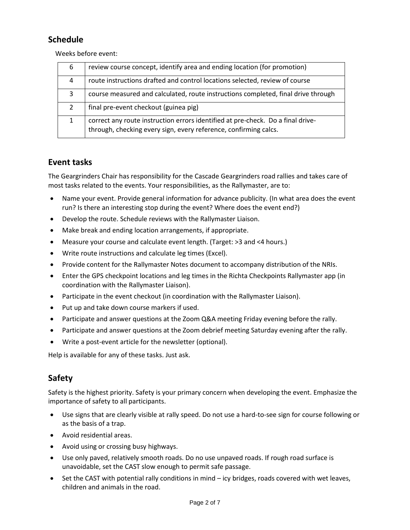# **Schedule**

Weeks before event:

| 6             | review course concept, identify area and ending location (for promotion)                                                                            |
|---------------|-----------------------------------------------------------------------------------------------------------------------------------------------------|
| 4             | route instructions drafted and control locations selected, review of course                                                                         |
| 3             | course measured and calculated, route instructions completed, final drive through                                                                   |
| $\mathcal{L}$ | final pre-event checkout (guinea pig)                                                                                                               |
| 1             | correct any route instruction errors identified at pre-check. Do a final drive-<br>through, checking every sign, every reference, confirming calcs. |

# **Event tasks**

The Geargrinders Chair has responsibility for the Cascade Geargrinders road rallies and takes care of most tasks related to the events. Your responsibilities, as the Rallymaster, are to:

- Name your event. Provide general information for advance publicity. (In what area does the event run? Is there an interesting stop during the event? Where does the event end?)
- Develop the route. Schedule reviews with the Rallymaster Liaison.
- Make break and ending location arrangements, if appropriate.
- Measure your course and calculate event length. (Target: >3 and <4 hours.)
- Write route instructions and calculate leg times (Excel).
- Provide content for the Rallymaster Notes document to accompany distribution of the NRIs.
- Enter the GPS checkpoint locations and leg times in the Richta Checkpoints Rallymaster app (in coordination with the Rallymaster Liaison).
- Participate in the event checkout (in coordination with the Rallymaster Liaison).
- Put up and take down course markers if used.
- Participate and answer questions at the Zoom Q&A meeting Friday evening before the rally.
- Participate and answer questions at the Zoom debrief meeting Saturday evening after the rally.
- Write a post-event article for the newsletter (optional).

Help is available for any of these tasks. Just ask.

# **Safety**

Safety is the highest priority. Safety is your primary concern when developing the event. Emphasize the importance of safety to all participants.

- Use signs that are clearly visible at rally speed. Do not use a hard-to-see sign for course following or as the basis of a trap.
- Avoid residential areas.
- Avoid using or crossing busy highways.
- Use only paved, relatively smooth roads. Do no use unpaved roads. If rough road surface is unavoidable, set the CAST slow enough to permit safe passage.
- Set the CAST with potential rally conditions in mind icy bridges, roads covered with wet leaves, children and animals in the road.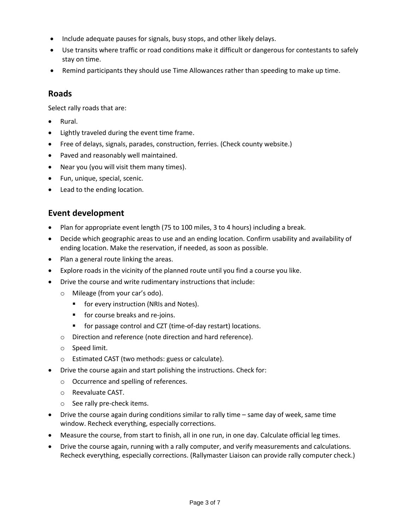- Include adequate pauses for signals, busy stops, and other likely delays.
- Use transits where traffic or road conditions make it difficult or dangerous for contestants to safely stay on time.
- Remind participants they should use Time Allowances rather than speeding to make up time.

# **Roads**

Select rally roads that are:

- Rural.
- Lightly traveled during the event time frame.
- Free of delays, signals, parades, construction, ferries. (Check county website.)
- Paved and reasonably well maintained.
- Near you (you will visit them many times).
- Fun, unique, special, scenic.
- Lead to the ending location.

# **Event development**

- Plan for appropriate event length (75 to 100 miles, 3 to 4 hours) including a break.
- Decide which geographic areas to use and an ending location. Confirm usability and availability of ending location. Make the reservation, if needed, as soon as possible.
- Plan a general route linking the areas.
- Explore roads in the vicinity of the planned route until you find a course you like.
- Drive the course and write rudimentary instructions that include:
	- o Mileage (from your car's odo).
		- for every instruction (NRIs and Notes).
		- for course breaks and re-joins.
		- for passage control and CZT (time-of-day restart) locations.
	- o Direction and reference (note direction and hard reference).
	- o Speed limit.
	- o Estimated CAST (two methods: guess or calculate).
- Drive the course again and start polishing the instructions. Check for:
	- o Occurrence and spelling of references.
	- o Reevaluate CAST.
	- o See rally pre-check items.
- Drive the course again during conditions similar to rally time same day of week, same time window. Recheck everything, especially corrections.
- Measure the course, from start to finish, all in one run, in one day. Calculate official leg times.
- Drive the course again, running with a rally computer, and verify measurements and calculations. Recheck everything, especially corrections. (Rallymaster Liaison can provide rally computer check.)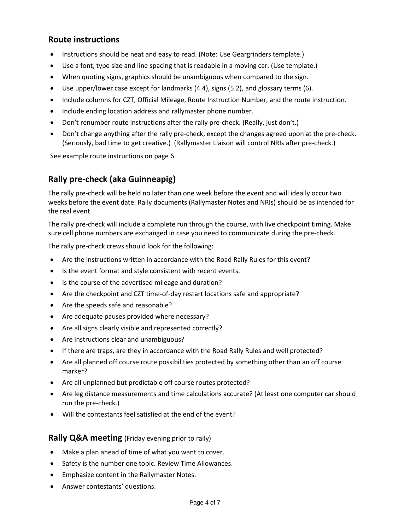## **Route instructions**

- Instructions should be neat and easy to read. (Note: Use Geargrinders template.)
- Use a font, type size and line spacing that is readable in a moving car. (Use template.)
- When quoting signs, graphics should be unambiguous when compared to the sign.
- Use upper/lower case except for landmarks (4.4), signs (5.2), and glossary terms (6).
- Include columns for CZT, Official Mileage, Route Instruction Number, and the route instruction.
- Include ending location address and rallymaster phone number.
- Don't renumber route instructions after the rally pre-check. (Really, just don't.)
- Don't change anything after the rally pre-check, except the changes agreed upon at the pre-check. (Seriously, bad time to get creative.) (Rallymaster Liaison will control NRIs after pre-check.)

See example route instructions on page 6.

# **Rally pre-check (aka Guinneapig)**

The rally pre-check will be held no later than one week before the event and will ideally occur two weeks before the event date. Rally documents (Rallymaster Notes and NRIs) should be as intended for the real event.

The rally pre-check will include a complete run through the course, with live checkpoint timing. Make sure cell phone numbers are exchanged in case you need to communicate during the pre-check.

The rally pre-check crews should look for the following:

- Are the instructions written in accordance with the Road Rally Rules for this event?
- Is the event format and style consistent with recent events.
- Is the course of the advertised mileage and duration?
- Are the checkpoint and CZT time-of-day restart locations safe and appropriate?
- Are the speeds safe and reasonable?
- Are adequate pauses provided where necessary?
- Are all signs clearly visible and represented correctly?
- Are instructions clear and unambiguous?
- If there are traps, are they in accordance with the Road Rally Rules and well protected?
- Are all planned off course route possibilities protected by something other than an off course marker?
- Are all unplanned but predictable off course routes protected?
- Are leg distance measurements and time calculations accurate? (At least one computer car should run the pre-check.)
- Will the contestants feel satisfied at the end of the event?

## **Rally Q&A meeting** (Friday evening prior to rally)

- Make a plan ahead of time of what you want to cover.
- Safety is the number one topic. Review Time Allowances.
- Emphasize content in the Rallymaster Notes.
- Answer contestants' questions.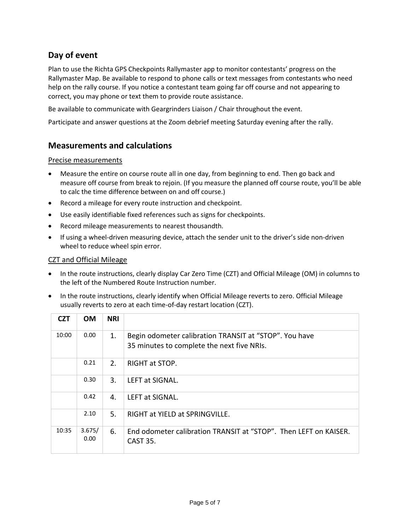# **Day of event**

Plan to use the Richta GPS Checkpoints Rallymaster app to monitor contestants' progress on the Rallymaster Map. Be available to respond to phone calls or text messages from contestants who need help on the rally course. If you notice a contestant team going far off course and not appearing to correct, you may phone or text them to provide route assistance.

Be available to communicate with Geargrinders Liaison / Chair throughout the event.

Participate and answer questions at the Zoom debrief meeting Saturday evening after the rally.

## **Measurements and calculations**

#### Precise measurements

- Measure the entire on course route all in one day, from beginning to end. Then go back and measure off course from break to rejoin. (If you measure the planned off course route, you'll be able to calc the time difference between on and off course.)
- Record a mileage for every route instruction and checkpoint.
- Use easily identifiable fixed references such as signs for checkpoints.
- Record mileage measurements to nearest thousandth.
- If using a wheel-driven measuring device, attach the sender unit to the driver's side non-driven wheel to reduce wheel spin error.

#### CZT and Official Mileage

- In the route instructions, clearly display Car Zero Time (CZT) and Official Mileage (OM) in columns to the left of the Numbered Route Instruction number.
- In the route instructions, clearly identify when Official Mileage reverts to zero. Official Mileage usually reverts to zero at each time-of-day restart location (CZT).

| CZT   | <b>OM</b>      | <b>NRI</b> |                                                                                                      |
|-------|----------------|------------|------------------------------------------------------------------------------------------------------|
| 10:00 | 0.00           | 1.         | Begin odometer calibration TRANSIT at "STOP". You have<br>35 minutes to complete the next five NRIs. |
|       | 0.21           | 2.         | RIGHT at STOP.                                                                                       |
|       | 0.30           | 3.         | LEFT at SIGNAL.                                                                                      |
|       | 0.42           | 4.         | LEFT at SIGNAL.                                                                                      |
|       | 2.10           | 5.         | RIGHT at YIELD at SPRINGVILLE.                                                                       |
| 10:35 | 3.675/<br>0.00 | 6.         | End odometer calibration TRANSIT at "STOP". Then LEFT on KAISER.<br><b>CAST 35.</b>                  |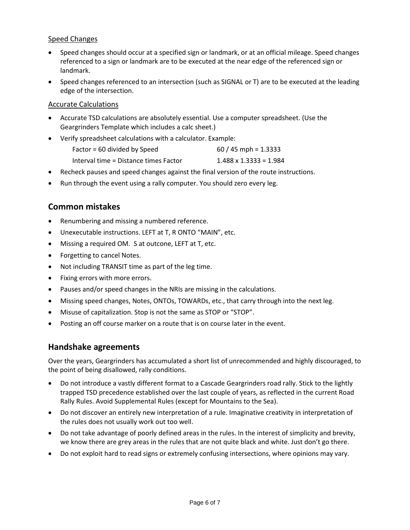#### Speed Changes

- Speed changes should occur at a specified sign or landmark, or at an official mileage. Speed changes referenced to a sign or landmark are to be executed at the near edge of the referenced sign or landmark.
- Speed changes referenced to an intersection (such as SIGNAL or T) are to be executed at the leading edge of the intersection.

#### Accurate Calculations

- Accurate TSD calculations are absolutely essential. Use a computer spreadsheet. (Use the Geargrinders Template which includes a calc sheet.)
- Verify spreadsheet calculations with a calculator. Example:

| Factor = 60 divided by Speed          | $60 / 45$ mph = 1.3333        |
|---------------------------------------|-------------------------------|
| Interval time = Distance times Factor | $1.488 \times 1.3333 = 1.984$ |

- Recheck pauses and speed changes against the final version of the route instructions.
- Run through the event using a rally computer. You should zero every leg.

## **Common mistakes**

- Renumbering and missing a numbered reference.
- Unexecutable instructions. LEFT at T, R ONTO "MAIN", etc.
- Missing a required OM. S at outcone, LEFT at T, etc.
- Forgetting to cancel Notes.
- Not including TRANSIT time as part of the leg time.
- Fixing errors with more errors.
- Pauses and/or speed changes in the NRIs are missing in the calculations.
- Missing speed changes, Notes, ONTOs, TOWARDs, etc., that carry through into the next leg.
- Misuse of capitalization. Stop is not the same as STOP or "STOP".
- Posting an off course marker on a route that is on course later in the event.

#### **Handshake agreements**

Over the years, Geargrinders has accumulated a short list of unrecommended and highly discouraged, to the point of being disallowed, rally conditions.

- Do not introduce a vastly different format to a Cascade Geargrinders road rally. Stick to the lightly trapped TSD precedence established over the last couple of years, as reflected in the current Road Rally Rules. Avoid Supplemental Rules (except for Mountains to the Sea).
- Do not discover an entirely new interpretation of a rule. Imaginative creativity in interpretation of the rules does not usually work out too well.
- Do not take advantage of poorly defined areas in the rules. In the interest of simplicity and brevity, we know there are grey areas in the rules that are not quite black and white. Just don't go there.
- Do not exploit hard to read signs or extremely confusing intersections, where opinions may vary.